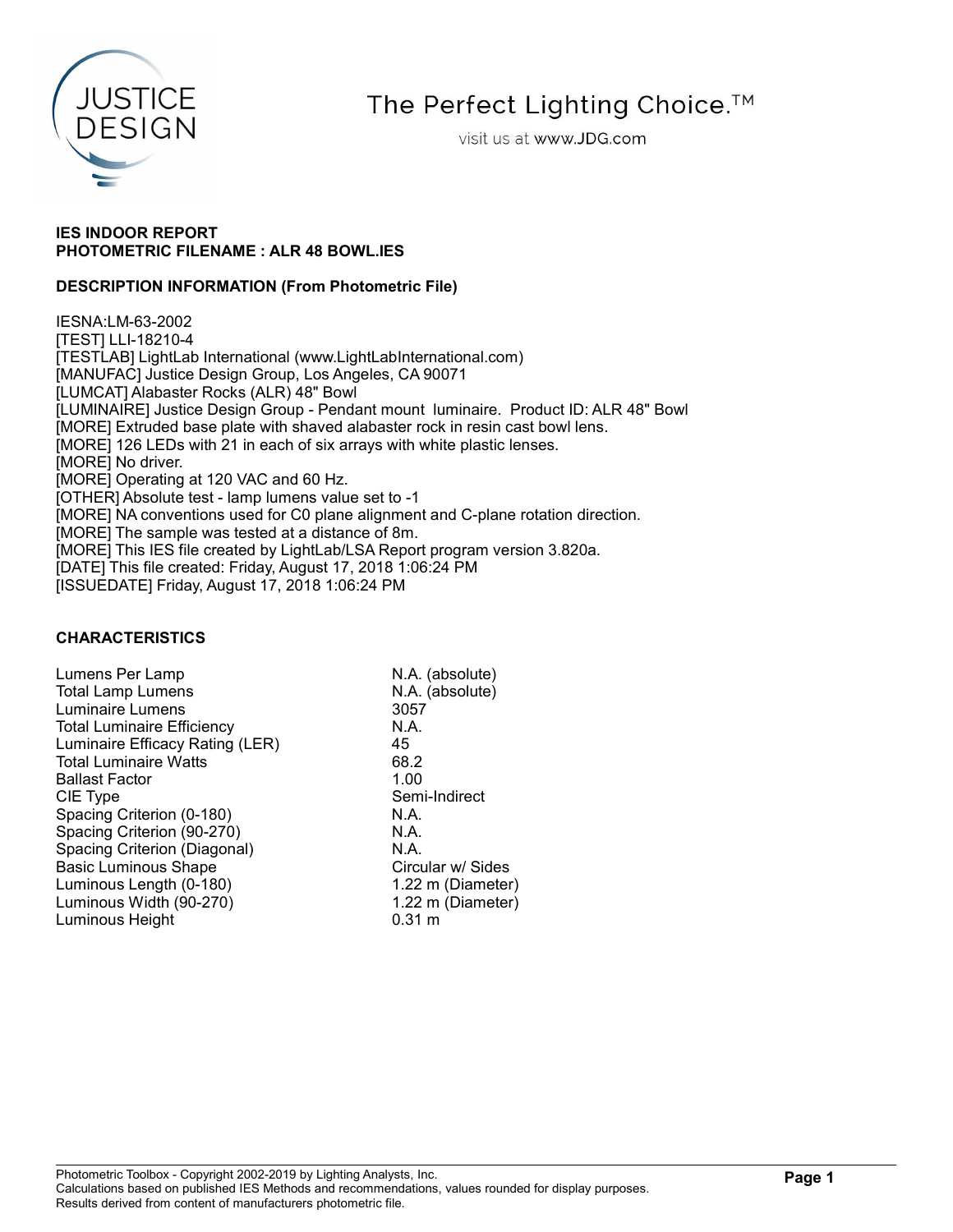

# The Perfect Lighting Choice.<sup>™</sup>

visit us at www.JDG.com

## IES INDOOR REPORT PHOTOMETRIC FILENAME : ALR 48 BOWL.IES

## DESCRIPTION INFORMATION (From Photometric File)

IESNA:LM-63-2002 [TEST] LLI-18210-4 [TESTLAB] LightLab International (www.LightLabInternational.com) [MANUFAC] Justice Design Group, Los Angeles, CA 90071 [LUMCAT] Alabaster Rocks (ALR) 48" Bowl [LUMINAIRE] Justice Design Group - Pendant mount luminaire. Product ID: ALR 48" Bowl [MORE] Extruded base plate with shaved alabaster rock in resin cast bowl lens. [MORE] 126 LEDs with 21 in each of six arrays with white plastic lenses. [MORE] No driver. [MORE] Operating at 120 VAC and 60 Hz. [OTHER] Absolute test - lamp lumens value set to -1 [MORE] NA conventions used for C0 plane alignment and C-plane rotation direction. [MORE] The sample was tested at a distance of 8m. [MORE] This IES file created by LightLab/LSA Report program version 3.820a. [DATE] This file created: Friday, August 17, 2018 1:06:24 PM [ISSUEDATE] Friday, August 17, 2018 1:06:24 PM

## CHARACTERISTICS

Lumens Per Lamp N.A. (absolute) Total Lamp Lumens N.A. (absolute) Luminaire Lumens 3057 Total Luminaire Efficiency **N.A.** Luminaire Efficacy Rating (LER) 45<br>Total Luminaire Watts 68.2 Total Luminaire Watts 68.2<br>Ballast Factor 1.00 **Ballast Factor** CIE Type Semi-Indirect Spacing Criterion (0-180) N.A.<br>Spacing Criterion (90-270) N.A. Spacing Criterion (90-270) Spacing Criterion (Diagonal) N.A. Basic Luminous Shape Circular w/ Sides Luminous Length (0-180) 1.22 m (Diameter) Luminous Width (90-270) 1.22 m (Diameter) Luminous Height 6.31 m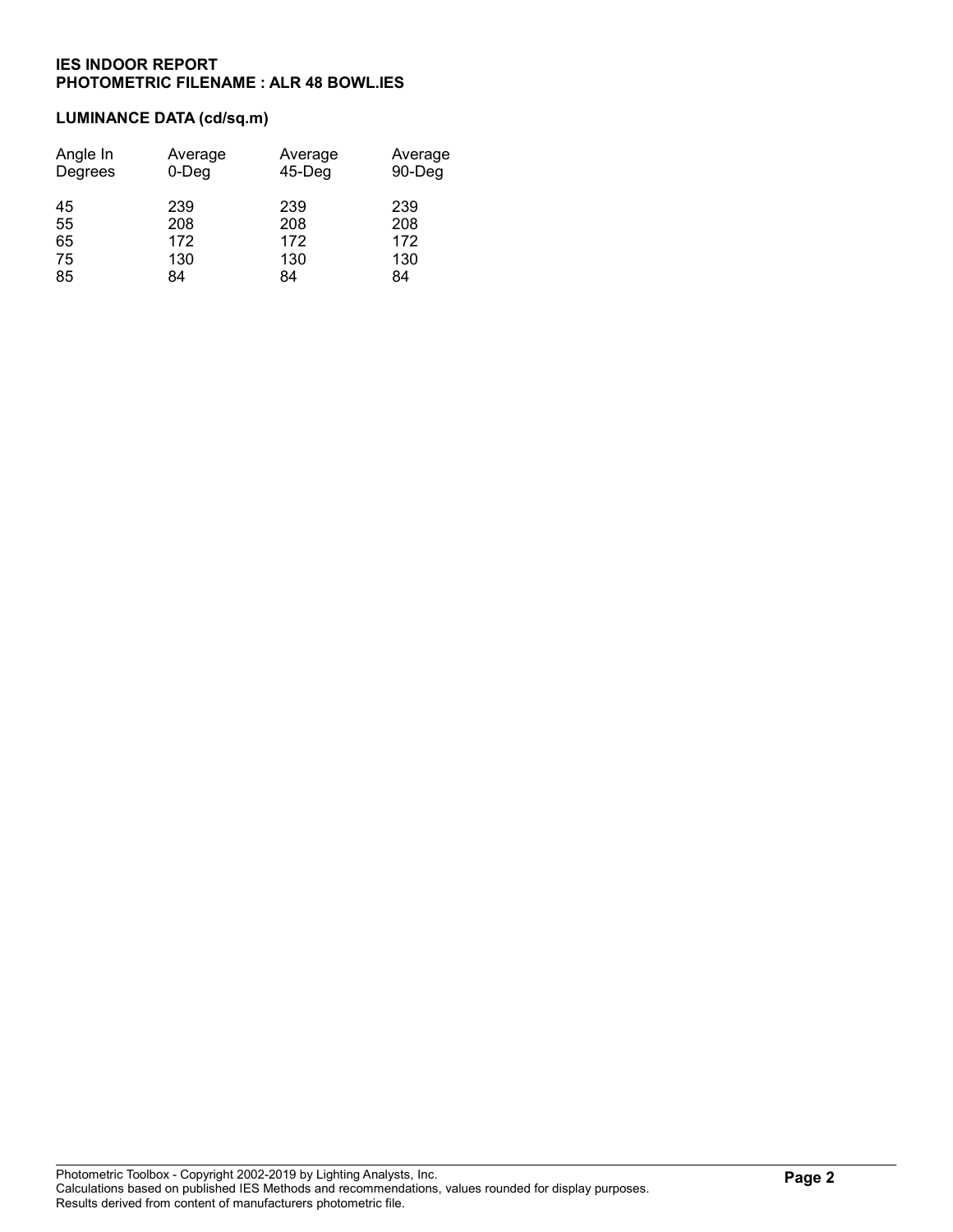# LUMINANCE DATA (cd/sq.m)

| Angle In | Average  | Average   | Average |
|----------|----------|-----------|---------|
| Degrees  | $0$ -Deg | $45-$ Deg | 90-Deg  |
| 45       | 239      | 239       | 239     |
| 55       | 208      | 208       | 208     |
| 65       | 172      | 172       | 172     |
| 75       | 130      | 130       | 130     |
| 85       | 84       | 84        | 84      |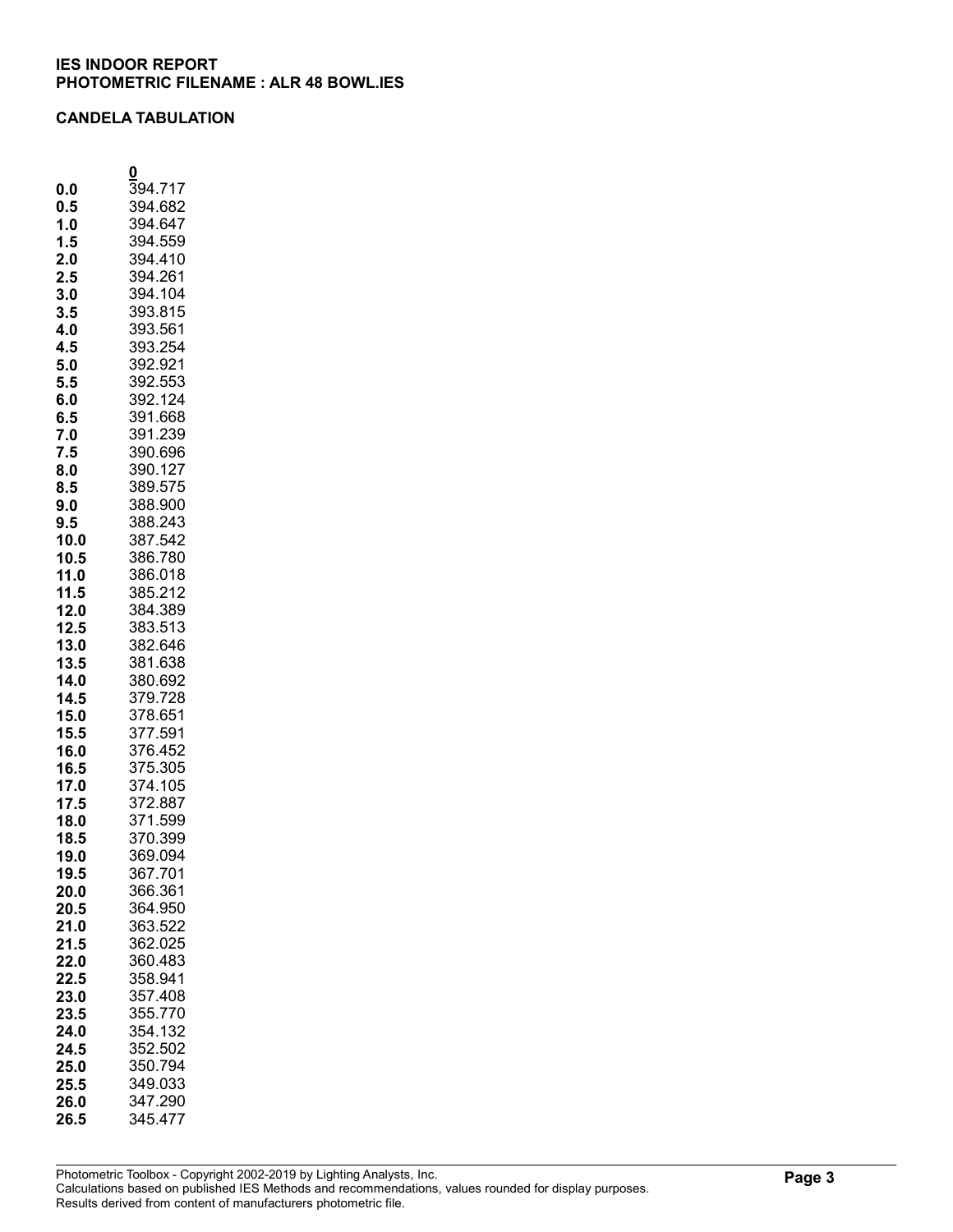## CANDELA TABULATION

|              | 0                  |
|--------------|--------------------|
| 0.0          | 394.717            |
| 0.5          | 394.682            |
| 1.0          | 394.647            |
| 1.5          | 394.559            |
| 2.0          | 394.410            |
| 2.5          | 394.261            |
| 3.0          | 394.104            |
| 3.5          | 393.815            |
| 4.0<br>4.5   | 393.561<br>393.254 |
| 5.0          | 392.921            |
| 5.5          | 392.553            |
| 6.0          | 392.124            |
| 6.5          | 391.668            |
| 7.0          | 391.239            |
| 7.5          | 390.696            |
| 8.0          | 390.127            |
| 8.5          | 389.575            |
| 9.0          | 388.900            |
| 9.5          | 388.243            |
| 10.0<br>10.5 | 387.542<br>386.780 |
| 11.0         | 386.018            |
| 11.5         | 385.212            |
| 12.0         | 384.389            |
| 12.5         | 383.513            |
| 13.0         | 382.646            |
| 13.5         | 381.638            |
| 14.0         | 380.692            |
| 14.5         | 379.728            |
| 15.0         | 378.651            |
| 15.5         | 377.591            |
| 16.0         | 376.452            |
| 16.5<br>17.0 | 375.305<br>374.105 |
| 17.5         | 372.887            |
| 18.0         | 371.599            |
| 18.5         | 370.399            |
| 19.0         | 369.094            |
| 19.5         | 367.701            |
| 20.0         | 366.361            |
| 20.5         | 364.950            |
| 21.0         | 363.522            |
| 21.5         | 362.025            |
| 22.0         | 360.483<br>358.941 |
| 22.5<br>23.0 | 357.408            |
| 23.5         | 355.770            |
| 24.0         | 354.132            |
| 24.5         | 352.502            |
| 25.0         | 350.794            |
| 25.5         | 349.033            |
| 26.0         | 347.290            |
| 26.5         | 345.477            |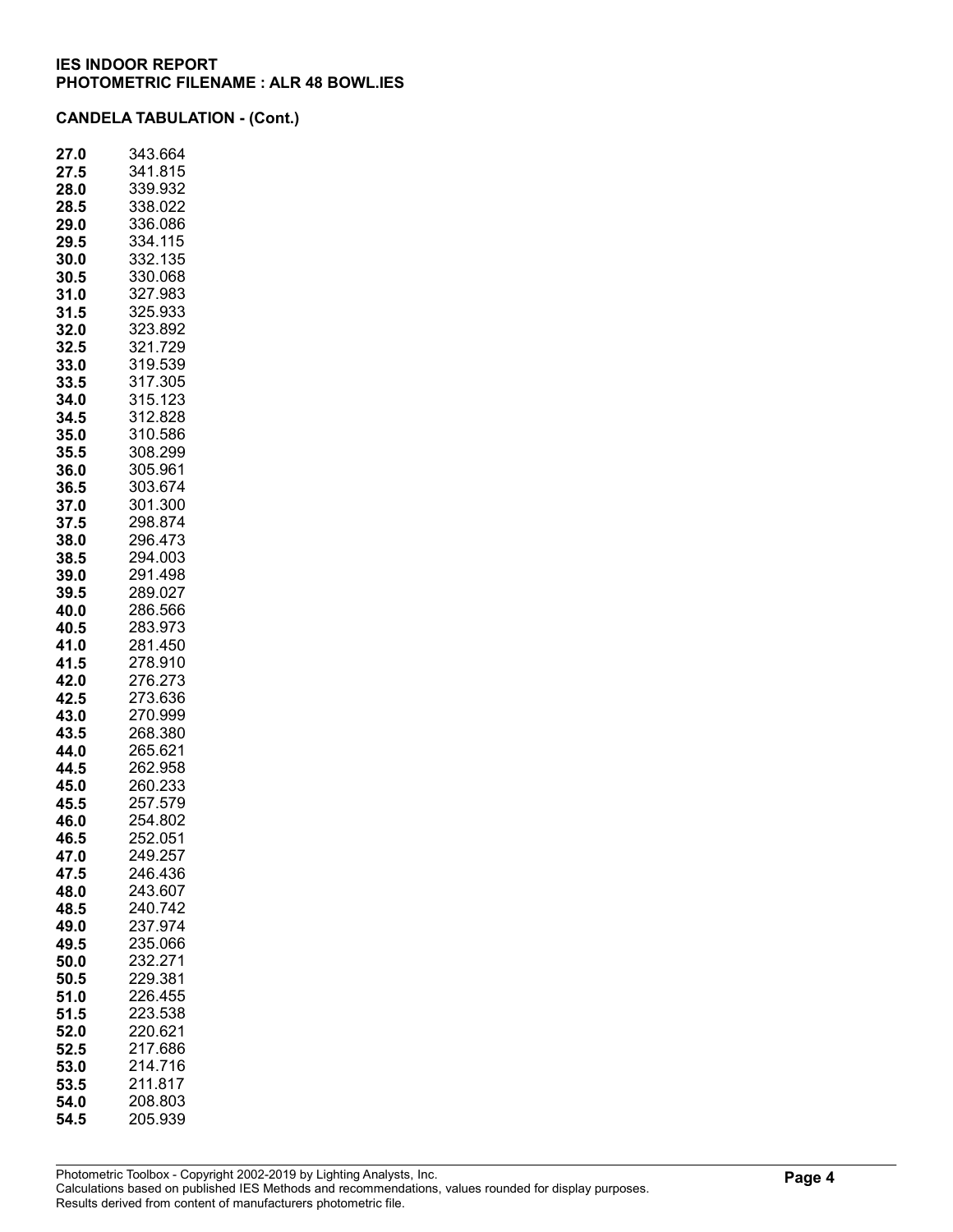| 27.<br>.0 | 343.664 |
|-----------|---------|
| 27.5      | 341.815 |
| 28.0      | 339.932 |
| 28.5      | 338.022 |
| 29.0      | 336.086 |
| 29.5      | 334.115 |
| 30.0      | 332.135 |
| 30.5      | 330.068 |
| 31.0      | 327.983 |
| 31.5      | 325.933 |
| 32.0      | 323.892 |
| 32.5      | 321.729 |
| 33.0      | 319.539 |
| 33.5      | 317.305 |
| 34.0      | 315.123 |
| 34.5      | 312.828 |
| 35.0      | 310.586 |
| 35.5      | 308.299 |
| 36.0      | 305.961 |
| 36.5      | 303.674 |
| 37.0      | 301.300 |
| 37.5      | 298.874 |
| 38.0      | 296.473 |
| 38.5      | 294.003 |
| 39.0      | 291.498 |
| 39.5      | 289.027 |
| 40.0      | 286.566 |
| 40.5      | 283.973 |
| 41.0      | 281.450 |
| 41.5      | 278.910 |
| 42.0      | 276.273 |
| 42.5      | 273.636 |
| 43.0      | 270.999 |
| 43.5      | 268.380 |
| 44.0      | 265.621 |
| 44.5      | 262.958 |
| 45.0      | 260.233 |
| 45.5      | 257.579 |
| 46.0      | 254.802 |
| 46.5      | 252.051 |
| 47.0      | 249.257 |
| 47.5      | 246.436 |
| 48.0      | 243.607 |
| 48.5      | 240.742 |
| 49.0      | 237.974 |
| 49.5      | 235.066 |
| 50.0      | 232.271 |
| 50.5      | 229.381 |
| 51.0      | 226.455 |
| 51.5      | 223.538 |
| 52.0      | 220.621 |
| 52.5      | 217.686 |
| 53.0      | 214.716 |
| 53.5      | 211.817 |
| 54.0      | 208.803 |
| 54.5      | 205.939 |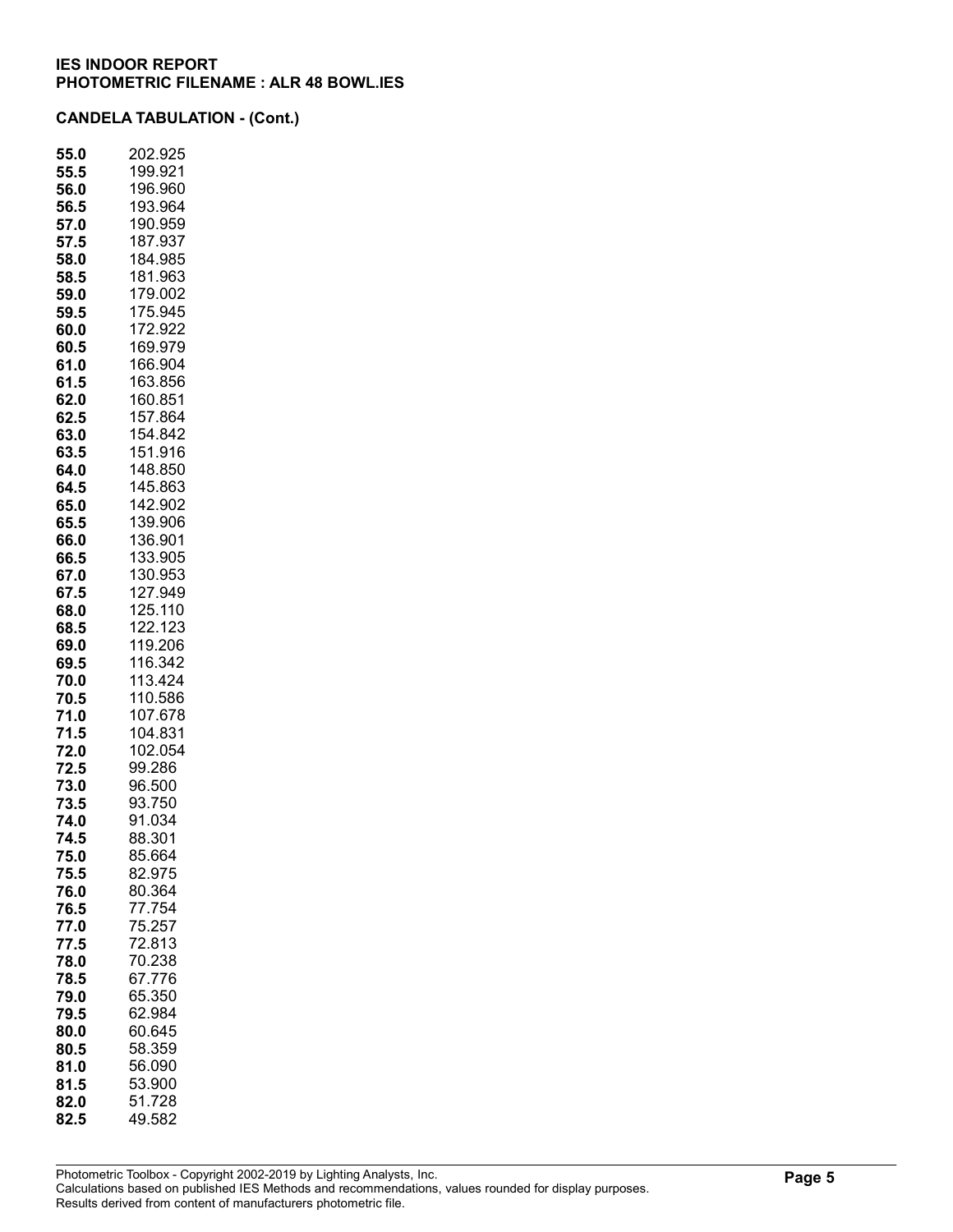| 55.0         | 202.925            |
|--------------|--------------------|
| 55.5         | 199.921            |
| 56.0         | 196.960            |
| 56.5         | 193.964            |
| 57.0         | 190.959            |
| 57.5         | 187.937            |
| 58.0         | 184.985            |
| 58.5         | 181.963<br>179.002 |
| 59.0<br>59.5 | 175.945            |
| 60.0         | 172.922            |
| 60.5         | 169.979            |
| 61.0         | 166.904            |
| 61.5         | 163.856            |
| 62.0         | 160.851            |
| 62.5         | 157.864            |
| 63.0         | 154.842            |
| 63.5         | 151.916            |
| 64.0         | 148.850            |
| 64.5         | 145.863            |
| 65.0         | 142.902            |
| 65.5         | 139.906            |
| 66.0         | 36.901<br>1        |
| 66.5         | 33.905<br>1        |
| 67.0         | 30.953<br>1        |
| 67.5         | 127.949            |
| 68.0         | 125.110            |
| 68.5         | 122.123            |
| 69.0         | 119.206            |
| 69.5         | 116.342            |
| 70.0         | 113.424            |
| 70.5         | 110.586<br>107.678 |
| 71.0         |                    |
| 71.5<br>72.0 | 104.831<br>102.054 |
| 72.5         | 99.286             |
| 73.0         | 96.500             |
| 73.5         | 93.750             |
| 74.0         | 91.034             |
| 74.5         | 88.301             |
| 75.0         | 85.664             |
| 75.5         | 82.975             |
| 76.0         | 80.364             |
| 76.5         | 77.754             |
| 77.0         | 75.257             |
| 77.5         | 72.813             |
| 78.0         | 70.238             |
| 78.5         | 67.776             |
| 79.0         | 65.350             |
| 79.5         | 62.984             |
| 80.0         | 60.645             |
| 80.5         | 58.359             |
| 81.0         | 56.090             |
| 81.5         | 53.900             |
| 82.0         | 51.728             |
| 82.5         | 49.582             |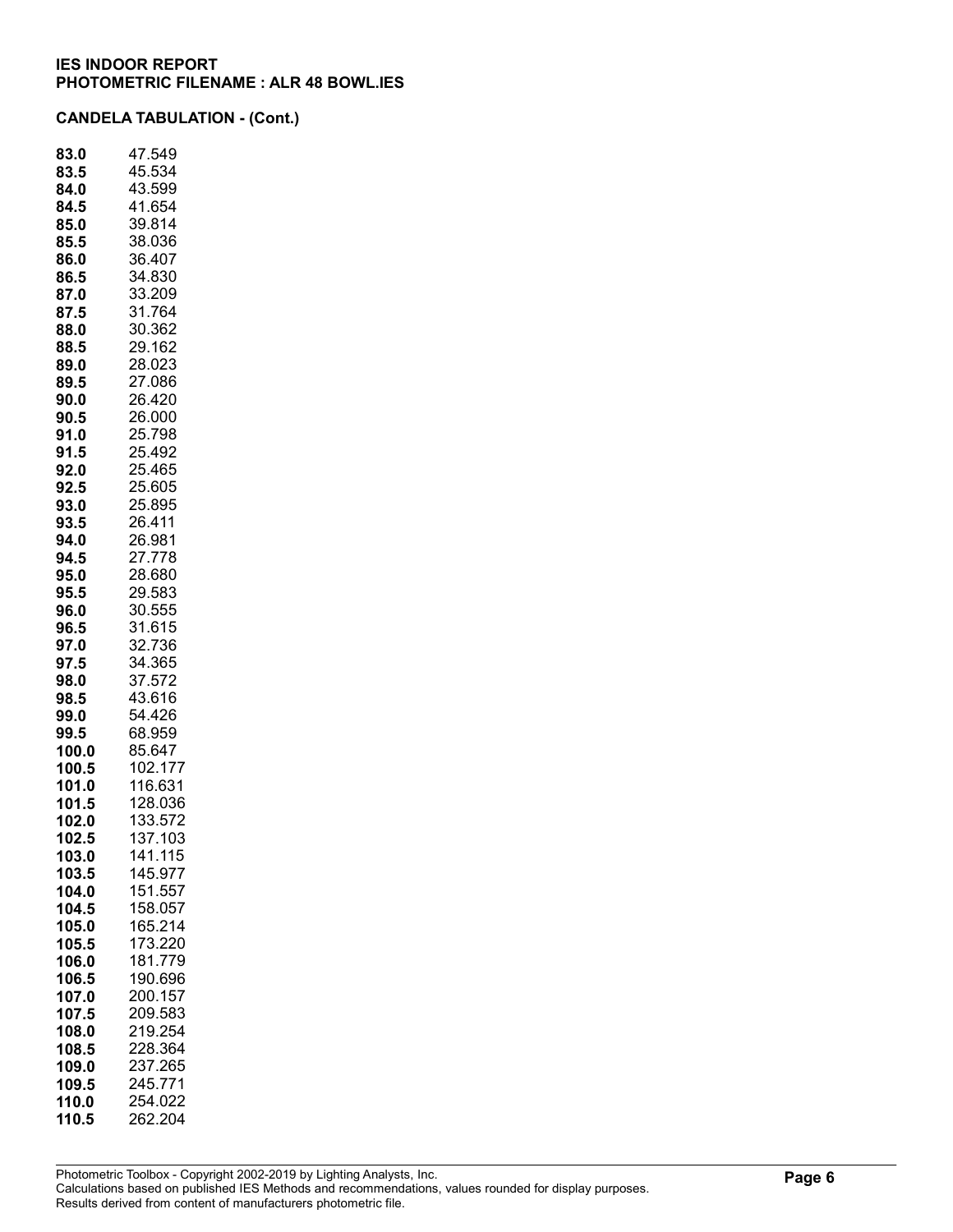| 83.0  | 47.549  |
|-------|---------|
| 83.5  | 45.534  |
| 84.0  | 43.599  |
| 84.5  | 41.654  |
| 85.0  | 39.814  |
| 85.5  | 38.036  |
| 86.0  | 36.407  |
| 86.5  | 34.830  |
| 87.0  | 33.209  |
| 87.5  | 31.764  |
| 88.0  | 30.362  |
| 88.5  | 29.162  |
| 89.0  | 28.023  |
| 89.5  | 27.086  |
| 90.0  | 26.420  |
| 90.5  | 26.000  |
| 91.0  | 25.798  |
|       | 25.492  |
| 91.5  |         |
| 92.0  | 25.465  |
| 92.5  | 25.605  |
| 93.0  | 25.895  |
| 93.5  | 26.411  |
| 94.0  | 26.981  |
| 94.5  | 27.778  |
| 95.0  | 28.680  |
| 95.5  | 29.583  |
| 96.0  | 30.555  |
| 96.5  | 31.615  |
| 97.0  | 32.736  |
| 97.5  | 34.365  |
| 98.0  | 37.572  |
| 98.5  | 43.616  |
| 99.0  | 54.426  |
| 99.5  | 68.959  |
| 100.0 | 85.647  |
| 100.5 | 102.177 |
| 101.0 | 116.631 |
| 101.5 | 128.036 |
| 102.0 | 133.572 |
| 102.5 | 137.103 |
| 103.0 | 141.115 |
| 103.5 | 145.977 |
| 104.0 | 151.557 |
| 104.5 | 158.057 |
| 105.0 | 165.214 |
| 105.5 | 173.220 |
| 106.0 | 181.779 |
| 106.5 | 190.696 |
| 107.0 | 200.157 |
| 107.5 | 209.583 |
| 108.0 | 219.254 |
| 108.5 | 228.364 |
|       |         |
| 109.0 | 237.265 |
| 109.5 | 245.771 |
| 110.0 | 254.022 |
| 110.5 | 262.204 |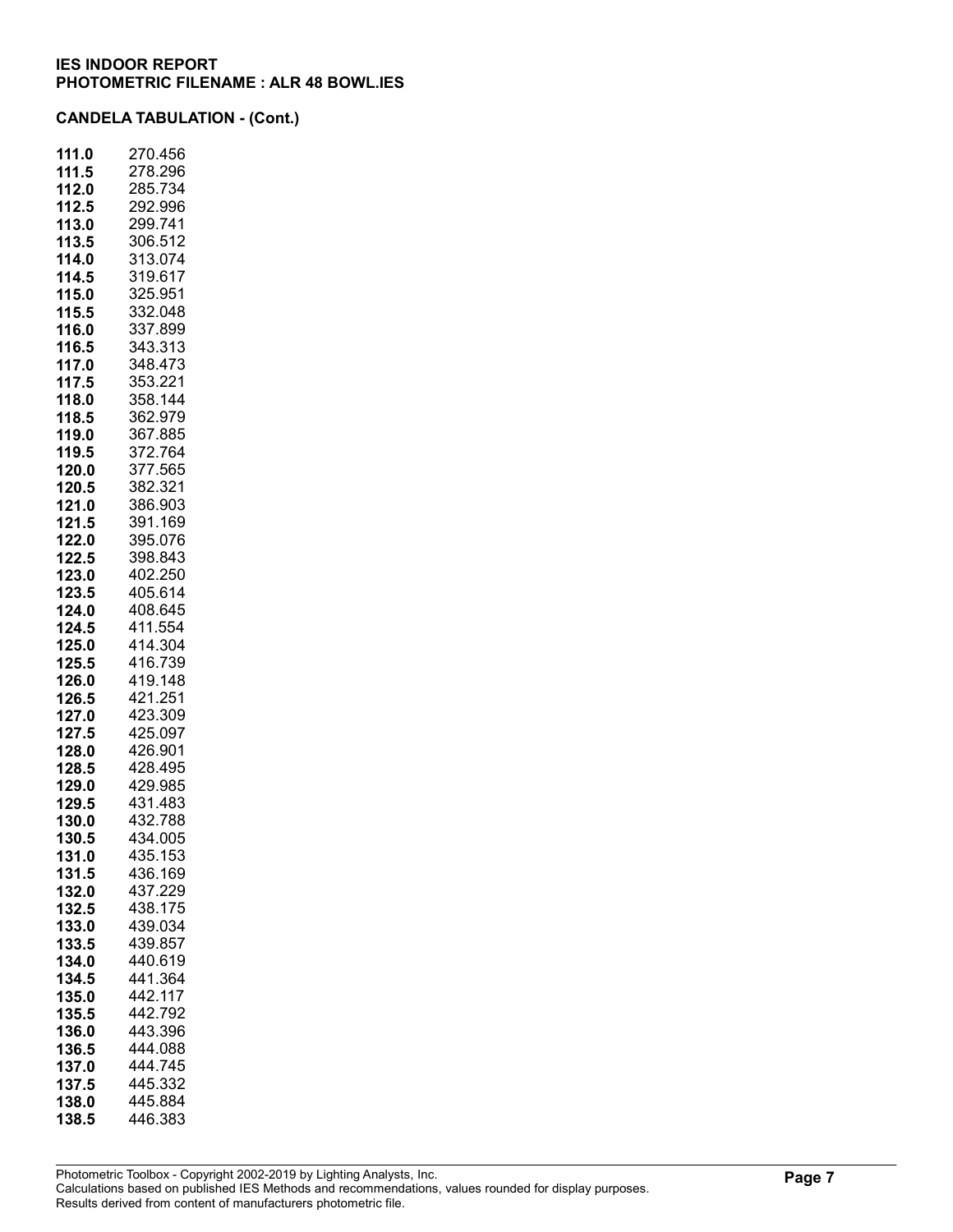| 111.0 | 270.456 |
|-------|---------|
| 111.5 | 278.296 |
| 112.0 | 285.734 |
| 112.5 | 292.996 |
| 113.0 | 299.741 |
| 113.5 | 306.512 |
| 114.0 | 313.074 |
| 114.5 | 319.617 |
| 115.0 | 325.951 |
| 115.5 | 332.048 |
| 116.0 | 337.899 |
| 116.5 | 343.313 |
| 117.0 | 348.473 |
| 117.5 | 353.221 |
| 118.0 | 358.144 |
| 118.5 | 362.979 |
| 119.0 | 367.885 |
| 119.5 | 372.764 |
| 120.0 | 377.565 |
| 120.5 | 382.321 |
| 121.0 | 386.903 |
| 121.5 | 391.169 |
| 122.0 | 395.076 |
| 122.5 | 398.843 |
| 123.0 | 402.250 |
| 123.5 | 405.614 |
| 124.0 | 408.645 |
| 124.5 | 411.554 |
| 125.0 | 414.304 |
| 125.5 | 416.739 |
| 126.0 | 419.148 |
| 126.5 | 421.251 |
| 127.0 | 423.309 |
| 127.5 | 425.097 |
| 128.0 | 426.901 |
| 128.5 | 428.495 |
| 129.0 | 429.985 |
| 129.5 | 431.483 |
| 130.0 | 432.788 |
| 130.5 | 434.005 |
| 131.0 | 435.153 |
| 131.5 | 436.169 |
| 132.0 | 437.229 |
| 132.5 | 438.175 |
| 133.0 | 439.034 |
| 133.5 | 439.857 |
| 134.0 | 440.619 |
| 134.5 | 441.364 |
| 135.0 | 442.117 |
| 135.5 | 442.792 |
| 136.0 | 443.396 |
| 136.5 | 444.088 |
| 137.0 | 444.745 |
| 137.5 | 445.332 |
| 138.0 | 445.884 |
| 138.5 | 446.383 |
|       |         |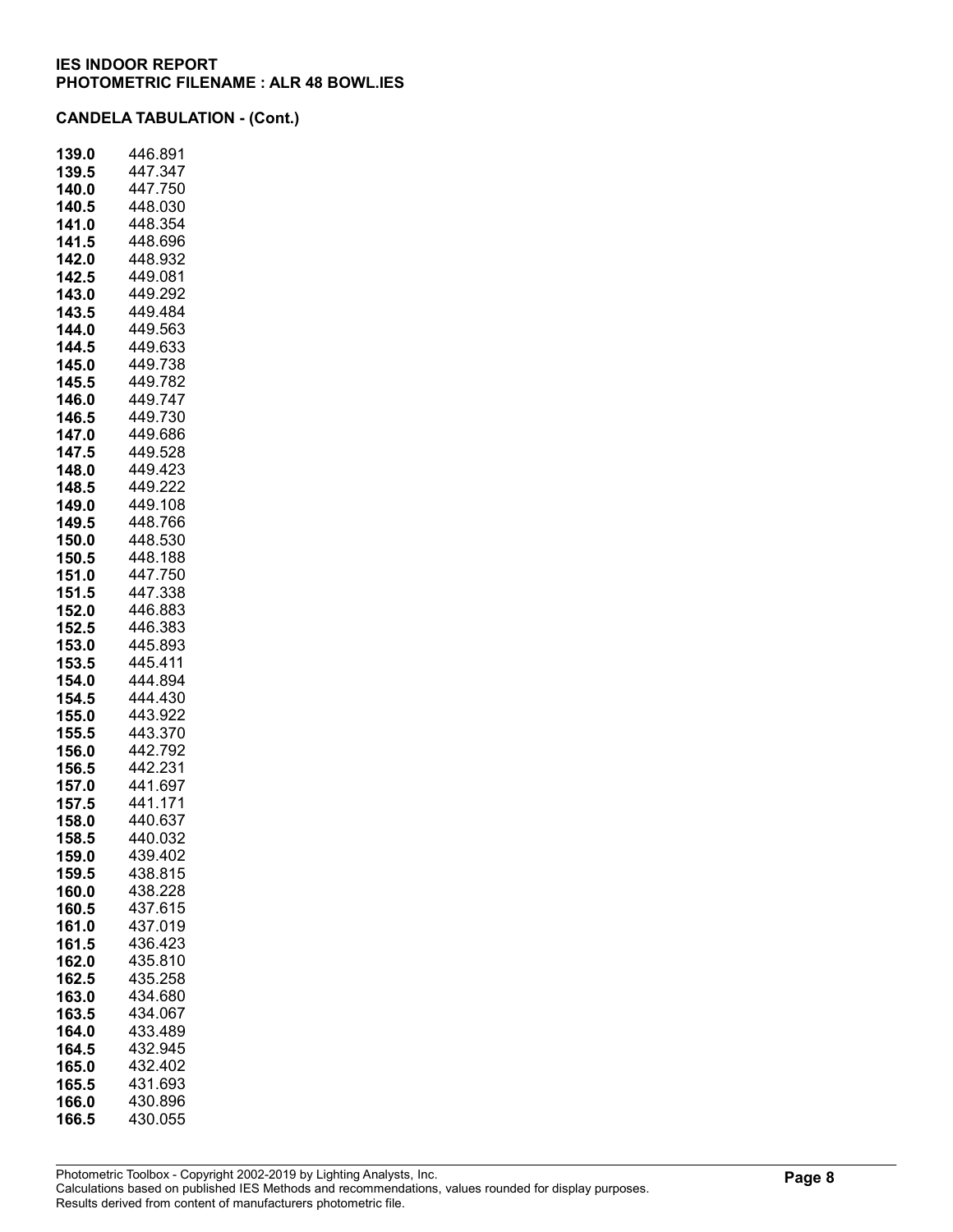| 139.0 | 446.891     |
|-------|-------------|
| 139.5 | 447.347     |
| 140.0 | 447.750     |
| 140.5 | 448.030     |
| 141.0 | 448.354     |
| 141.5 | 448.696     |
| 142.0 | 448.932     |
| 142.5 | 449.081     |
| 143.0 | 449.292     |
| 143.5 | 449.484     |
| 144.0 | 449.563     |
| 144.5 | 449.633     |
| 145.0 | 449.738     |
| 145.5 | 449.782     |
| 146.0 | 449.<br>747 |
| 146.5 | 449.730     |
| 147.0 | 449.686     |
| 147.5 | 449.528     |
| 148.0 | 449.423     |
| 148.5 | 449.222     |
| 149.0 | 449.108     |
| 149.5 | 448.766     |
| 150.0 | 448.530     |
| 150.5 | 448.188     |
| 151.0 | 447.750     |
| 151.5 | 447.338     |
| 152.0 | 446.883     |
| 152.5 | 446.383     |
| 153.0 | 445.893     |
| 153.5 | 445.411     |
| 154.0 | 444.894     |
| 154.5 | 444.430     |
| 155.0 | 443.922     |
| 155.5 | 443.370     |
| 156.0 | 442.792     |
| 156.5 | 442.231     |
| 157.0 | 441.697     |
| 157.5 | 441.171     |
| 158.0 | 440.637     |
| 158.5 | 440.032     |
| 159.0 | 439.402     |
| 159.5 | 438.815     |
| 160.0 | 438.228     |
| 160.5 | 437.615     |
| 161.0 | 437.019     |
| 161.5 | 436.423     |
| 162.0 | 435.810     |
| 162.5 | 435.258     |
| 163.0 | 434.680     |
| 163.5 | 434.067     |
| 164.0 | 433.489     |
| 164.5 | 432.945     |
| 165.0 | 432.402     |
| 165.5 | 431.693     |
| 166.0 | 430.896     |
| 166.5 | 430.055     |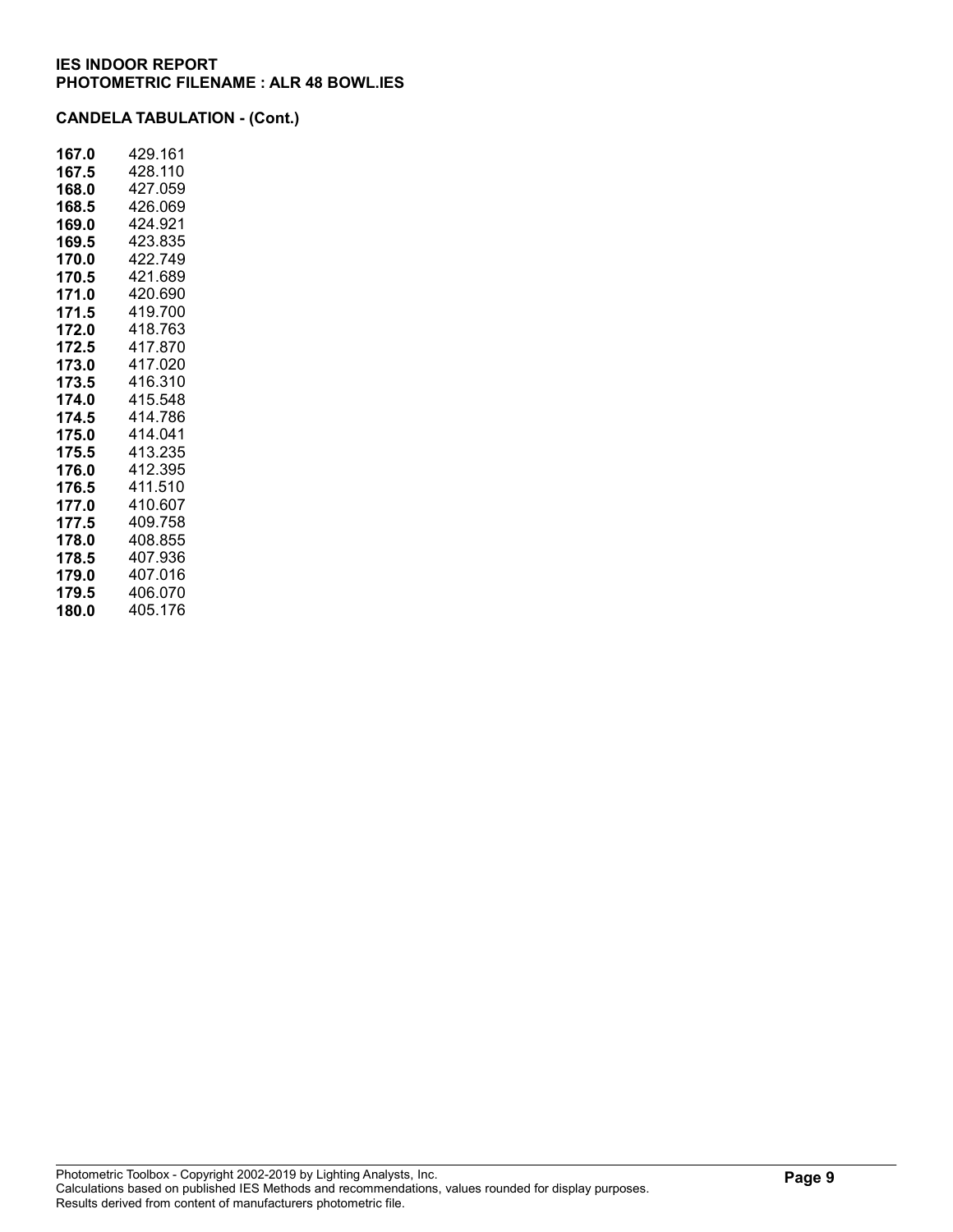| 167.0 | 429.161 |
|-------|---------|
| 167.5 | 428.110 |
| 168.0 | 427.059 |
| 168.5 | 426.069 |
| 169.0 | 424.921 |
| 169.5 | 423.835 |
| 170.0 | 422.749 |
| 170.5 | 421.689 |
| 171.0 | 420.690 |
| 171.5 | 419.700 |
| 172.0 | 418.763 |
| 172.5 | 417.870 |
| 173.0 | 417.020 |
| 173.5 | 416.310 |
| 174.0 | 415.548 |
| 174.5 | 414.786 |
| 175.0 | 414.041 |
| 175.5 | 413.235 |
| 176.0 | 412.395 |
| 176.5 | 411.510 |
| 177.0 | 410.607 |
| 177.5 | 409.758 |
| 178.0 | 408.855 |
| 178.5 | 407.936 |
| 179.0 | 407.016 |
| 179.5 | 406.070 |
| 180.0 | 405.176 |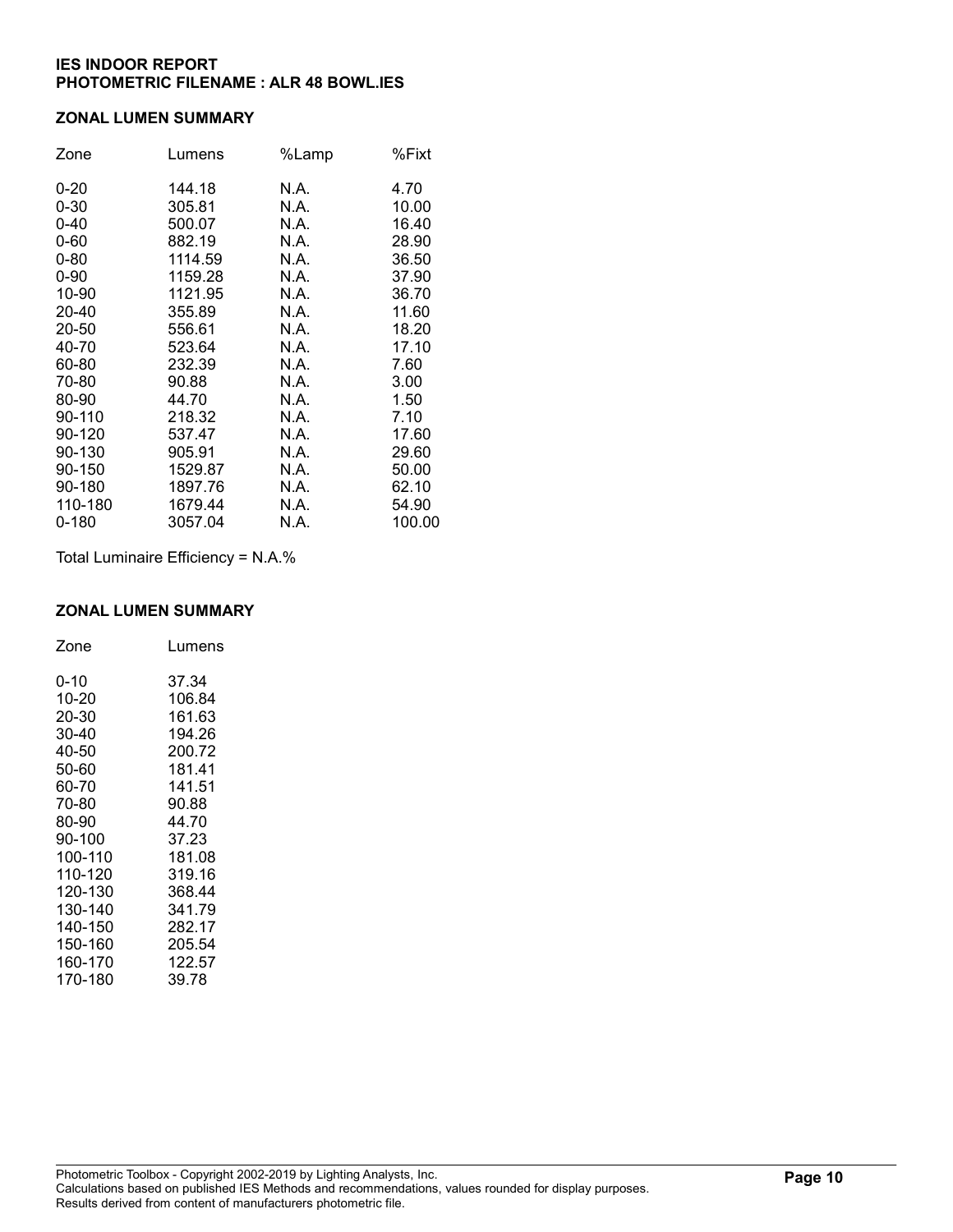#### ZONAL LUMEN SUMMARY

| Zone      | Lumens  | %Lamp | %Fixt  |
|-----------|---------|-------|--------|
| $0 - 20$  | 144.18  | N.A.  | 4.70   |
| $0 - 30$  | 305.81  | N.A.  | 10.00  |
| $0 - 40$  | 500.07  | N.A.  | 16.40  |
| $0 - 60$  | 882.19  | N.A.  | 28.90  |
| $0 - 80$  | 1114.59 | N.A.  | 36.50  |
| $0 - 90$  | 1159.28 | N.A.  | 37.90  |
| 10-90     | 1121.95 | N.A.  | 36.70  |
| 20-40     | 355.89  | N.A.  | 11.60  |
| 20-50     | 556.61  | N.A.  | 18.20  |
| 40-70     | 523.64  | N.A.  | 17.10  |
| 60-80     | 232.39  | N.A.  | 7.60   |
| 70-80     | 90.88   | N.A.  | 3.00   |
| 80-90     | 44.70   | N.A.  | 1.50   |
| 90-110    | 218.32  | N.A.  | 7.10   |
| 90-120    | 537.47  | N.A.  | 17.60  |
| 90-130    | 905.91  | N.A.  | 29.60  |
| 90-150    | 1529.87 | N.A.  | 50.00  |
| 90-180    | 1897.76 | N.A.  | 62.10  |
| 110-180   | 1679.44 | N.A.  | 54.90  |
| $0 - 180$ | 3057.04 | N.A.  | 100.00 |

Total Luminaire Efficiency = N.A.%

## ZONAL LUMEN SUMMARY

| Zone    | Lumens |
|---------|--------|
| 0-10    | 37.34  |
| 10-20   | 106.84 |
| 20-30   | 161.63 |
| 30-40   | 194.26 |
| 40-50   | 200.72 |
| 50-60   | 181.41 |
| 60-70   | 141.51 |
| 70-80   | 90.88  |
| 80-90   | 44.70  |
| 90-100  | 37.23  |
| 100-110 | 181.08 |
| 110-120 | 319.16 |
| 120-130 | 368.44 |
| 130-140 | 341.79 |
| 140-150 | 282.17 |
| 150-160 | 205.54 |
| 160-170 | 122.57 |
| 170-180 | 39.78  |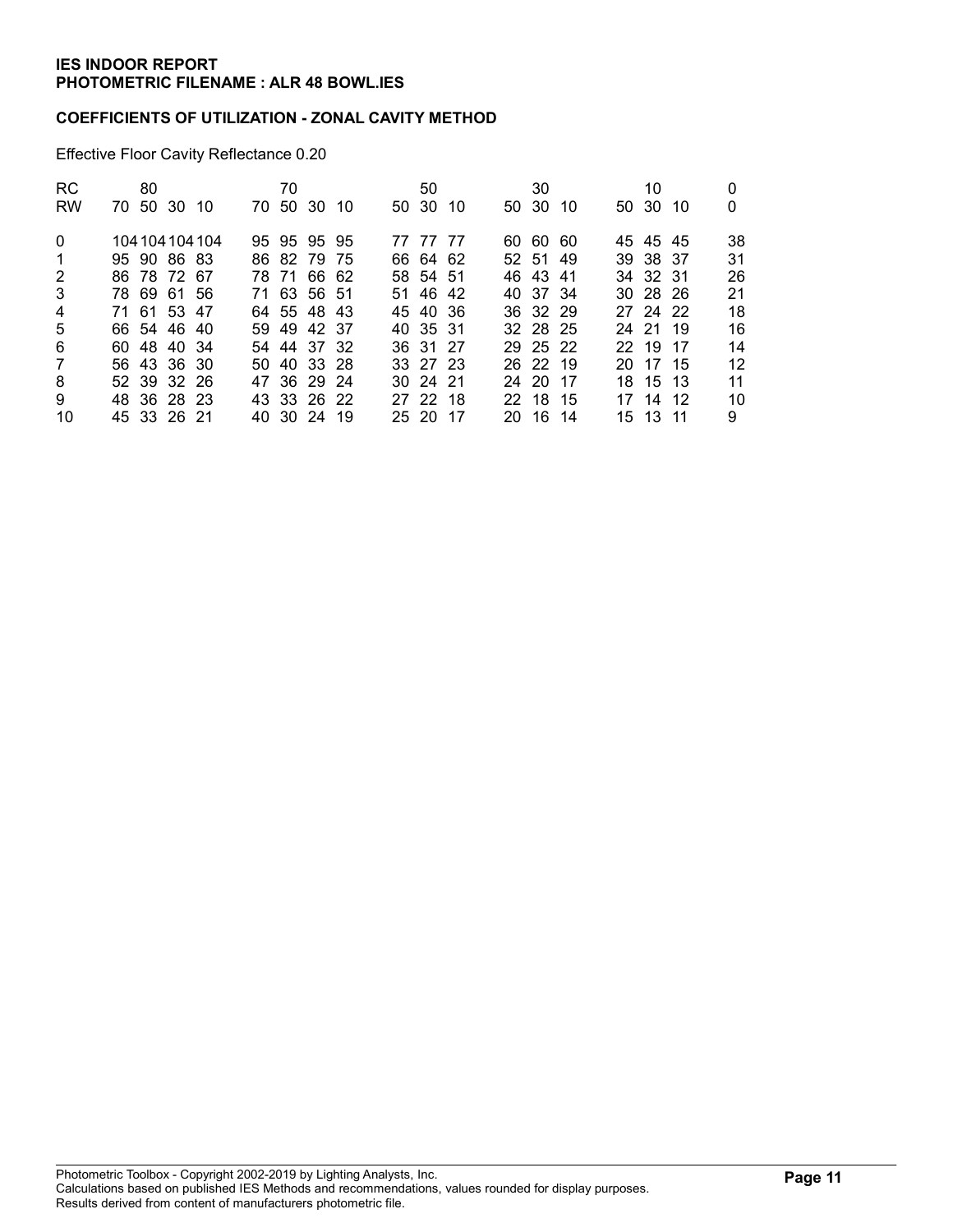#### COEFFICIENTS OF UTILIZATION - ZONAL CAVITY METHOD

Effective Floor Cavity Reflectance 0.20

| RC.            | 80 |             |                 | 70 |             |  | 50       |     | 30       |     | 10       |     |    |
|----------------|----|-------------|-----------------|----|-------------|--|----------|-----|----------|-----|----------|-----|----|
| <b>RW</b>      |    | 70 50 30 10 |                 |    | 70 50 30 10 |  | 50 30    | -10 | 50 30    | -10 | 50 30    | -10 | 0  |
| $\Omega$       |    |             | 104 104 104 104 |    | 95 95 95 95 |  | 77 77 77 |     | 60 60 60 |     | 45 45 45 |     | 38 |
| $\mathbf{1}$   |    | 95 90 86 83 |                 |    | 86 82 79 75 |  | 66 64 62 |     | 52 51 49 |     | 39 38 37 |     | 31 |
| 2              |    | 86 78 72 67 |                 |    | 78 71 66 62 |  | 58 54 51 |     | 46 43 41 |     | 34 32 31 |     | 26 |
| 3              |    | 78 69 61 56 |                 |    | 71 63 56 51 |  | 51 46 42 |     | 40 37 34 |     | 30 28 26 |     | 21 |
| $\overline{4}$ |    | 71 61 53 47 |                 |    | 64 55 48 43 |  | 45 40 36 |     | 36 32 29 |     | 27 24 22 |     | 18 |
| 5              |    | 66 54 46 40 |                 |    | 59 49 42 37 |  | 40 35 31 |     | 32 28 25 |     | 24 21 19 |     | 16 |
| 6              |    | 60 48 40 34 |                 |    | 54 44 37 32 |  | 36 31 27 |     | 29 25 22 |     | 22 19 17 |     | 14 |
| 7              |    | 56 43 36 30 |                 |    | 50 40 33 28 |  | 33 27 23 |     | 26 22 19 |     | 20 17 15 |     | 12 |
| 8              |    | 52 39 32 26 |                 |    | 47 36 29 24 |  | 30 24 21 |     | 24 20 17 |     | 18 15 13 |     | 11 |
| 9              |    | 48 36 28 23 |                 |    | 43 33 26 22 |  | 27 22 18 |     | 22 18 15 |     | 17 14 12 |     | 10 |
| 10             |    | 45 33 26 21 |                 |    | 40 30 24 19 |  | 25 20 17 |     | 20 16 14 |     | 15 13 11 |     | 9  |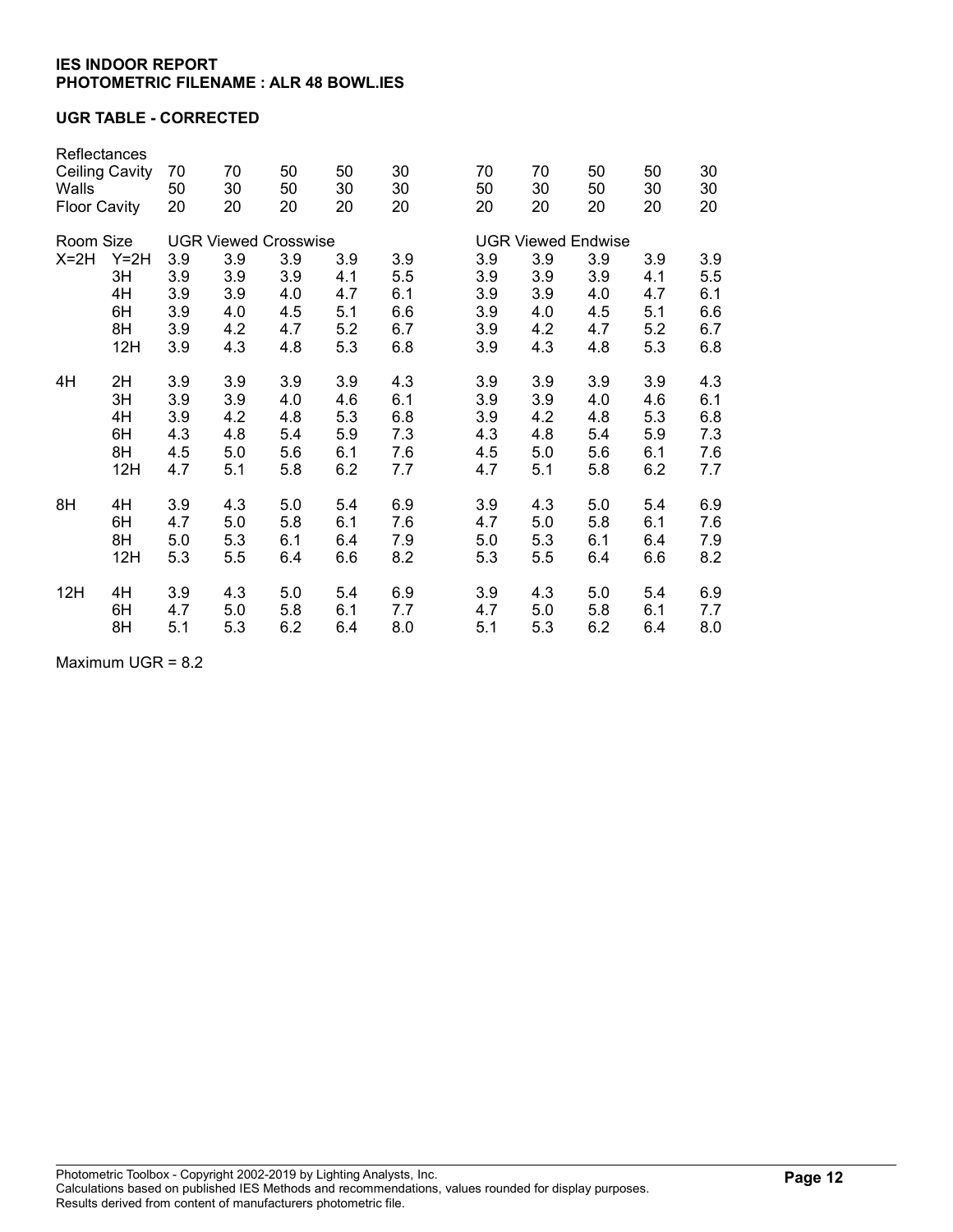## UGR TABLE - CORRECTED

| Reflectances<br><b>Ceiling Cavity</b><br>Walls<br><b>Floor Cavity</b> |                                   | 70<br>50<br>20                         | 70<br>30<br>20                         | 50<br>50<br>20                         | 50<br>30<br>20                         | 30<br>30<br>20                         | 70<br>50<br>20                         | 70<br>30<br>20                         | 50<br>50<br>20                         | 50<br>30<br>20                         | 30<br>30<br>20                         |  |
|-----------------------------------------------------------------------|-----------------------------------|----------------------------------------|----------------------------------------|----------------------------------------|----------------------------------------|----------------------------------------|----------------------------------------|----------------------------------------|----------------------------------------|----------------------------------------|----------------------------------------|--|
| Room Size                                                             |                                   |                                        | <b>UGR Viewed Crosswise</b>            |                                        |                                        | <b>UGR Viewed Endwise</b>              |                                        |                                        |                                        |                                        |                                        |  |
| $X=2H$<br>$Y=2H$<br>3H<br>4H<br>6H<br>8H                              |                                   | 3.9<br>3.9<br>3.9<br>3.9<br>3.9        | 3.9<br>3.9<br>3.9<br>4.0<br>4.2        | 3.9<br>3.9<br>4.0<br>4.5<br>4.7        | 3.9<br>4.1<br>4.7<br>5.1<br>5.2        | 3.9<br>5.5<br>6.1<br>6.6<br>6.7        | 3.9<br>3.9<br>3.9<br>3.9<br>3.9        | 3.9<br>3.9<br>3.9<br>4.0<br>4.2        | 3.9<br>3.9<br>4.0<br>4.5<br>4.7        | 3.9<br>4.1<br>4.7<br>5.1<br>5.2        | 3.9<br>5.5<br>6.1<br>6.6<br>6.7        |  |
|                                                                       | 12H                               | 3.9                                    | 4.3                                    | 4.8                                    | 5.3                                    | 6.8                                    | 3.9                                    | 4.3                                    | 4.8                                    | 5.3                                    | 6.8                                    |  |
| 4H                                                                    | 2H<br>3H<br>4H<br>6H<br>8H<br>12H | 3.9<br>3.9<br>3.9<br>4.3<br>4.5<br>4.7 | 3.9<br>3.9<br>4.2<br>4.8<br>5.0<br>5.1 | 3.9<br>4.0<br>4.8<br>5.4<br>5.6<br>5.8 | 3.9<br>4.6<br>5.3<br>5.9<br>6.1<br>6.2 | 4.3<br>6.1<br>6.8<br>7.3<br>7.6<br>7.7 | 3.9<br>3.9<br>3.9<br>4.3<br>4.5<br>4.7 | 3.9<br>3.9<br>4.2<br>4.8<br>5.0<br>5.1 | 3.9<br>4.0<br>4.8<br>5.4<br>5.6<br>5.8 | 3.9<br>4.6<br>5.3<br>5.9<br>6.1<br>6.2 | 4.3<br>6.1<br>6.8<br>7.3<br>7.6<br>7.7 |  |
| 8H                                                                    | 4H<br>6H<br>8H<br>12H             | 3.9<br>4.7<br>5.0<br>5.3               | 4.3<br>5.0<br>5.3<br>5.5               | 5.0<br>5.8<br>6.1<br>6.4               | 5.4<br>6.1<br>6.4<br>6.6               | 6.9<br>7.6<br>7.9<br>8.2               | 3.9<br>4.7<br>5.0<br>5.3               | 4.3<br>5.0<br>5.3<br>5.5               | 5.0<br>5.8<br>6.1<br>6.4               | 5.4<br>6.1<br>6.4<br>6.6               | 6.9<br>7.6<br>7.9<br>8.2               |  |
| 12H                                                                   | 4H<br>6H<br>8H                    | 3.9<br>4.7<br>5.1                      | 4.3<br>5.0<br>5.3                      | 5.0<br>5.8<br>6.2                      | 5.4<br>6.1<br>6.4                      | 6.9<br>7.7<br>8.0                      | 3.9<br>4.7<br>5.1                      | 4.3<br>5.0<br>5.3                      | 5.0<br>5.8<br>6.2                      | 5.4<br>6.1<br>6.4                      | 6.9<br>7.7<br>8.0                      |  |

Maximum UGR = 8.2